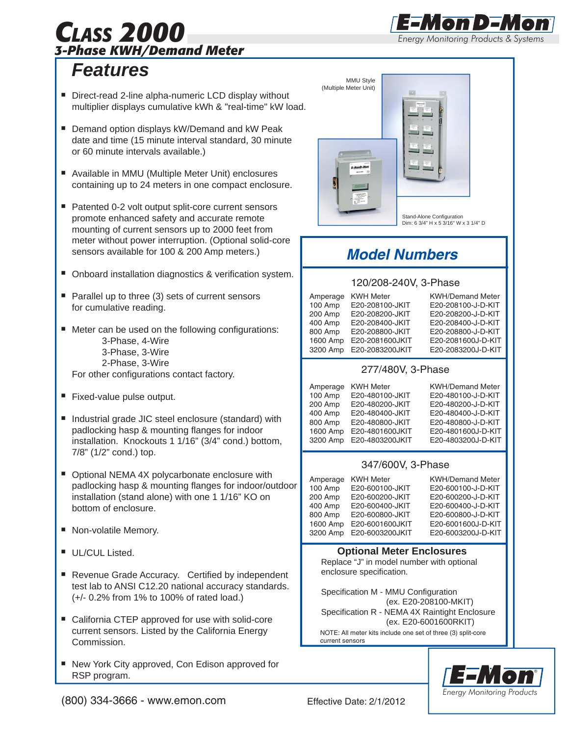## *CLASS 2000 3-Phase KWH/Demand Meter*

## *Features*

- Direct-read 2-line alpha-numeric LCD display without multiplier displays cumulative kWh & "real-time" kW load.
- **Demand option displays kW/Demand and kW Peak** date and time (15 minute interval standard, 30 minute or 60 minute intervals available.)
- Available in MMU (Multiple Meter Unit) enclosures containing up to 24 meters in one compact enclosure.
- Patented 0-2 volt output split-core current sensors promote enhanced safety and accurate remote mounting of current sensors up to 2000 feet from meter without power interruption. (Optional solid-core sensors available for 100 & 200 Amp meters.)
- **Onboard installation diagnostics & verification system.**
- $\blacksquare$  Parallel up to three (3) sets of current sensors for cumulative reading.
- Meter can be used on the following configurations: 3-Phase, 4-Wire 3-Phase, 3-Wire 2-Phase, 3-Wire For other configurations contact factory.
- **Fixed-value pulse output.**
- Industrial grade JIC steel enclosure (standard) with padlocking hasp & mounting flanges for indoor installation. Knockouts 1 1/16" (3/4" cond.) bottom, 7/8" (1/2" cond.) top.
- Optional NEMA 4X polycarbonate enclosure with padlocking hasp & mounting flanges for indoor/outdoor installation (stand alone) with one 1 1/16" KO on bottom of enclosure.
- Non-volatile Memory.
- **UL/CUL Listed.**
- Revenue Grade Accuracy. Certified by independent test lab to ANSI C12.20 national accuracy standards. (+/- 0.2% from 1% to 100% of rated load.)
- California CTEP approved for use with solid-core current sensors. Listed by the California Energy Commission.
- New York City approved, Con Edison approved for RSP program. ×,



*Energy Monitoring Products & Systems*

E Mon D E M

®